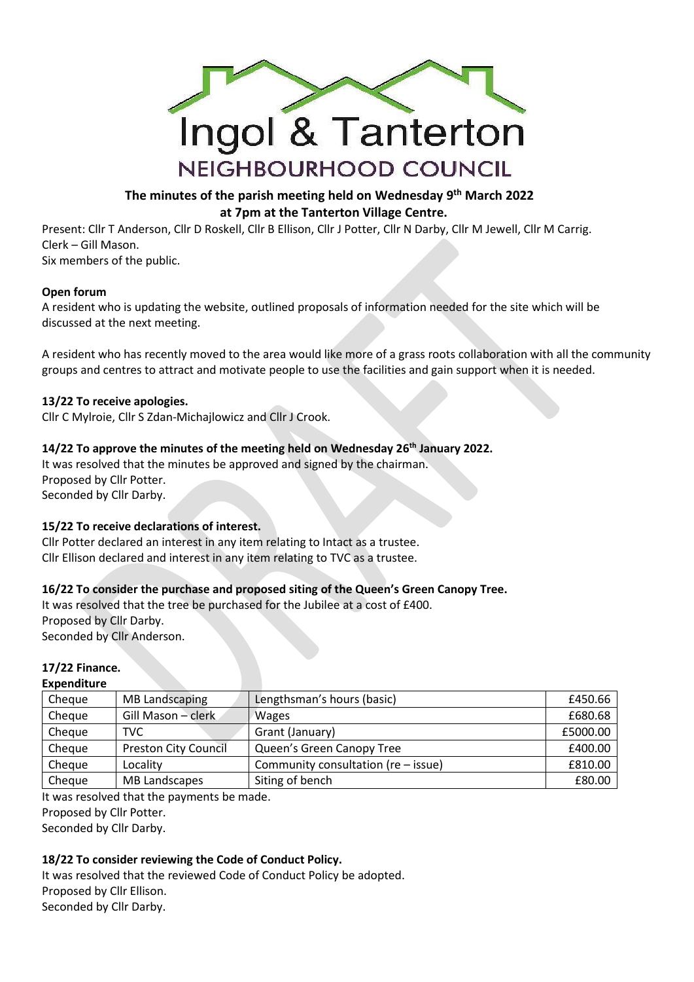

# **The minutes of the parish meeting held on Wednesday 9 th March 2022 at 7pm at the Tanterton Village Centre.**

Present: Cllr T Anderson, Cllr D Roskell, Cllr B Ellison, Cllr J Potter, Cllr N Darby, Cllr M Jewell, Cllr M Carrig. Clerk – Gill Mason. Six members of the public.

### **Open forum**

A resident who is updating the website, outlined proposals of information needed for the site which will be discussed at the next meeting.

A resident who has recently moved to the area would like more of a grass roots collaboration with all the community groups and centres to attract and motivate people to use the facilities and gain support when it is needed.

### **13/22 To receive apologies.**

Cllr C Mylroie, Cllr S Zdan-Michajlowicz and Cllr J Crook.

## **14/22 To approve the minutes of the meeting held on Wednesday 26th January 2022.**

It was resolved that the minutes be approved and signed by the chairman. Proposed by Cllr Potter. Seconded by Cllr Darby.

### **15/22 To receive declarations of interest.**

Cllr Potter declared an interest in any item relating to Intact as a trustee. Cllr Ellison declared and interest in any item relating to TVC as a trustee.

## **16/22 To consider the purchase and proposed siting of the Queen's Green Canopy Tree.**

It was resolved that the tree be purchased for the Jubilee at a cost of £400. Proposed by Cllr Darby.

Seconded by Cllr Anderson.

## **17/22 Finance.**

### **Expenditure**

| Cheque | <b>MB Landscaping</b>       | Lengthsman's hours (basic)          | £450.66  |
|--------|-----------------------------|-------------------------------------|----------|
| Cheque | Gill Mason - clerk          | <b>Wages</b>                        | £680.68  |
| Cheque | TVC.                        | Grant (January)                     | £5000.00 |
| Cheque | <b>Preston City Council</b> | Queen's Green Canopy Tree           | £400.00  |
| Cheque | Locality                    | Community consultation (re - issue) | £810.00  |
| Cheque | MB Landscapes               | Siting of bench                     | £80.00   |

It was resolved that the payments be made.

Proposed by Cllr Potter.

Seconded by Cllr Darby.

## **18/22 To consider reviewing the Code of Conduct Policy.**

It was resolved that the reviewed Code of Conduct Policy be adopted. Proposed by Cllr Ellison. Seconded by Cllr Darby.